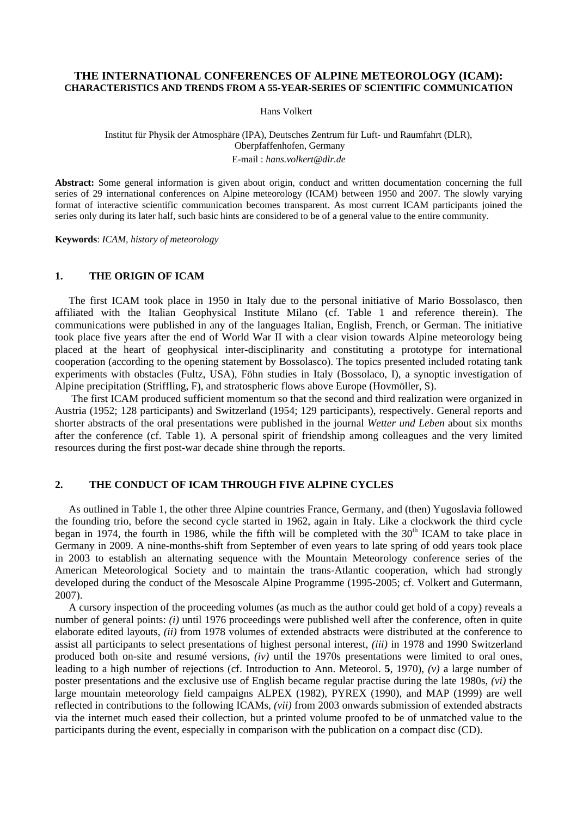## **THE INTERNATIONAL CONFERENCES OF ALPINE METEOROLOGY (ICAM): CHARACTERISTICS AND TRENDS FROM A 55-YEAR-SERIES OF SCIENTIFIC COMMUNICATION**

Hans Volkert

## Institut für Physik der Atmosphäre (IPA), Deutsches Zentrum für Luft- und Raumfahrt (DLR), Oberpfaffenhofen, Germany E-mail : *hans.volkert@dlr.de*

**Abstract:** Some general information is given about origin, conduct and written documentation concerning the full series of 29 international conferences on Alpine meteorology (ICAM) between 1950 and 2007. The slowly varying format of interactive scientific communication becomes transparent. As most current ICAM participants joined the series only during its later half, such basic hints are considered to be of a general value to the entire community.

**Keywords**: *ICAM, history of meteorology* 

# **1. THE ORIGIN OF ICAM**

The first ICAM took place in 1950 in Italy due to the personal initiative of Mario Bossolasco, then affiliated with the Italian Geophysical Institute Milano (cf. Table 1 and reference therein). The communications were published in any of the languages Italian, English, French, or German. The initiative took place five years after the end of World War II with a clear vision towards Alpine meteorology being placed at the heart of geophysical inter-disciplinarity and constituting a prototype for international cooperation (according to the opening statement by Bossolasco). The topics presented included rotating tank experiments with obstacles (Fultz, USA), Föhn studies in Italy (Bossolaco, I), a synoptic investigation of Alpine precipitation (Striffling, F), and stratospheric flows above Europe (Hovmöller, S).

 The first ICAM produced sufficient momentum so that the second and third realization were organized in Austria (1952; 128 participants) and Switzerland (1954; 129 participants), respectively. General reports and shorter abstracts of the oral presentations were published in the journal *Wetter und Leben* about six months after the conference (cf. Table 1). A personal spirit of friendship among colleagues and the very limited resources during the first post-war decade shine through the reports.

# **2. THE CONDUCT OF ICAM THROUGH FIVE ALPINE CYCLES**

As outlined in Table 1, the other three Alpine countries France, Germany, and (then) Yugoslavia followed the founding trio, before the second cycle started in 1962, again in Italy. Like a clockwork the third cycle began in 1974, the fourth in 1986, while the fifth will be completed with the  $30<sup>th</sup>$  ICAM to take place in Germany in 2009. A nine-months-shift from September of even years to late spring of odd years took place in 2003 to establish an alternating sequence with the Mountain Meteorology conference series of the American Meteorological Society and to maintain the trans-Atlantic cooperation, which had strongly developed during the conduct of the Mesoscale Alpine Programme (1995-2005; cf. Volkert and Gutermann, 2007).

A cursory inspection of the proceeding volumes (as much as the author could get hold of a copy) reveals a number of general points: *(i)* until 1976 proceedings were published well after the conference, often in quite elaborate edited layouts, *(ii)* from 1978 volumes of extended abstracts were distributed at the conference to assist all participants to select presentations of highest personal interest, *(iii)* in 1978 and 1990 Switzerland produced both on-site and resumé versions, *(iv)* until the 1970s presentations were limited to oral ones, leading to a high number of rejections (cf. Introduction to Ann. Meteorol. **5**, 1970), *(v)* a large number of poster presentations and the exclusive use of English became regular practise during the late 1980s, *(vi)* the large mountain meteorology field campaigns ALPEX (1982), PYREX (1990), and MAP (1999) are well reflected in contributions to the following ICAMs, *(vii)* from 2003 onwards submission of extended abstracts via the internet much eased their collection, but a printed volume proofed to be of unmatched value to the participants during the event, especially in comparison with the publication on a compact disc (CD).